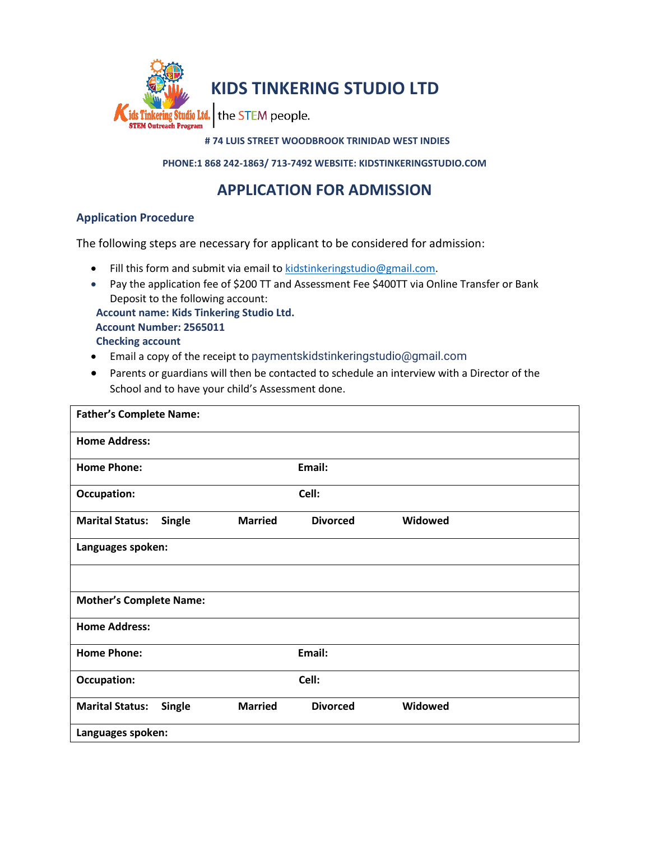

#### **# 74 LUIS STREET WOODBROOK TRINIDAD WEST INDIES**

**PHONE:1 868 242-1863/ 713-7492 WEBSITE: KIDSTINKERINGSTUDIO.COM**

# **APPLICATION FOR ADMISSION**

### **Application Procedure**

The following steps are necessary for applicant to be considered for admission:

- Fill this form and submit via email t[o kidstinkeringstudio@gmail.com.](mailto:kidstinkeringstudio@gmail.com)
- Pay the application fee of \$200 TT and Assessment Fee \$400TT via Online Transfer or Bank Deposit to the following account:

 **Account name: Kids Tinkering Studio Ltd. Account Number: 2565011 Checking account**

- Email a copy of the receipt to paymentskidstinkeringstudio@gmail.com
- Parents or guardians will then be contacted to schedule an interview with a Director of the School and to have your child's Assessment done.

| <b>Father's Complete Name:</b>          |                |                 |         |  |
|-----------------------------------------|----------------|-----------------|---------|--|
| <b>Home Address:</b>                    |                |                 |         |  |
| <b>Home Phone:</b>                      |                | Email:          |         |  |
| <b>Occupation:</b>                      |                | Cell:           |         |  |
| <b>Marital Status:</b><br><b>Single</b> | <b>Married</b> | <b>Divorced</b> | Widowed |  |
| Languages spoken:                       |                |                 |         |  |
|                                         |                |                 |         |  |
| <b>Mother's Complete Name:</b>          |                |                 |         |  |
| <b>Home Address:</b>                    |                |                 |         |  |
| <b>Home Phone:</b>                      |                | Email:          |         |  |
| <b>Occupation:</b>                      |                | Cell:           |         |  |
| <b>Marital Status:</b><br>Single        | <b>Married</b> | <b>Divorced</b> | Widowed |  |
| Languages spoken:                       |                |                 |         |  |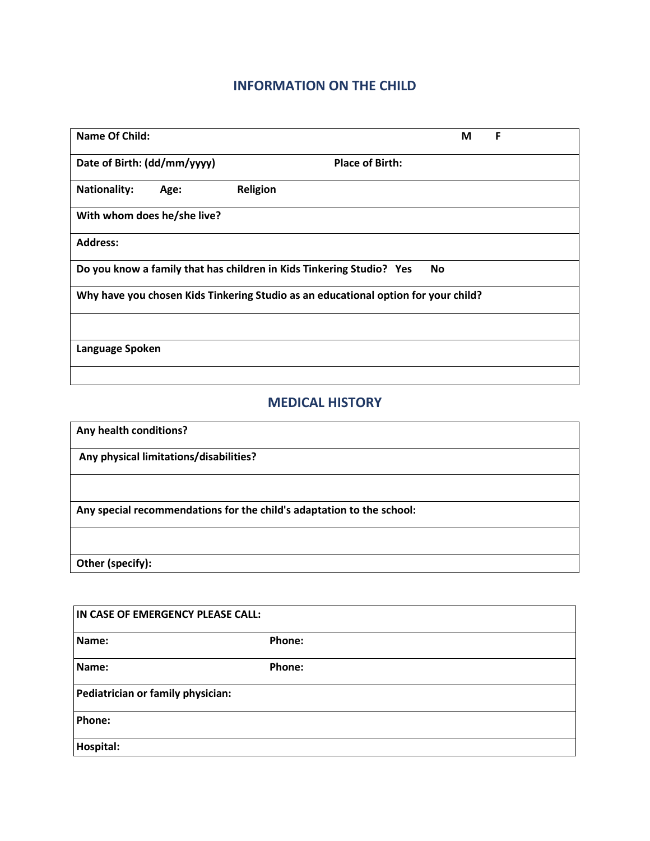### **INFORMATION ON THE CHILD**

| <b>Name Of Child:</b>                                                              | F<br>М                 |  |  |  |
|------------------------------------------------------------------------------------|------------------------|--|--|--|
| Date of Birth: (dd/mm/yyyy)                                                        | <b>Place of Birth:</b> |  |  |  |
| <b>Nationality:</b><br>Age:                                                        | Religion               |  |  |  |
| With whom does he/she live?                                                        |                        |  |  |  |
| <b>Address:</b>                                                                    |                        |  |  |  |
| Do you know a family that has children in Kids Tinkering Studio? Yes<br><b>No</b>  |                        |  |  |  |
| Why have you chosen Kids Tinkering Studio as an educational option for your child? |                        |  |  |  |
|                                                                                    |                        |  |  |  |
| Language Spoken                                                                    |                        |  |  |  |
|                                                                                    |                        |  |  |  |

## **MEDICAL HISTORY**

| Any health conditions?                                                |  |  |
|-----------------------------------------------------------------------|--|--|
| Any physical limitations/disabilities?                                |  |  |
|                                                                       |  |  |
| Any special recommendations for the child's adaptation to the school: |  |  |
|                                                                       |  |  |
| Other (specify):                                                      |  |  |

| IN CASE OF EMERGENCY PLEASE CALL: |        |  |  |  |
|-----------------------------------|--------|--|--|--|
| Name:                             | Phone: |  |  |  |
| Name:                             | Phone: |  |  |  |
| Pediatrician or family physician: |        |  |  |  |
| Phone:                            |        |  |  |  |
| Hospital:                         |        |  |  |  |